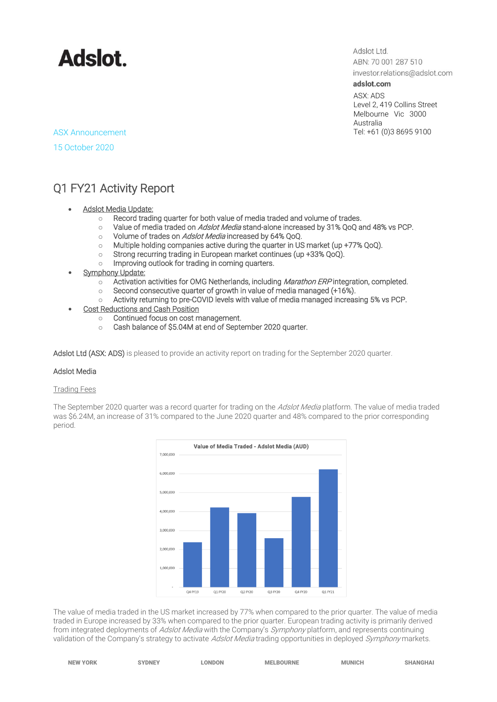

Adslot Ltd. ABN: 70 001 287 510

investor.relations@adslot.com adslot.com

ASX: ADS Level 2, 419 Collins Street Melbourne Vic 3000 Australia<br>Tel: +61 (0)3 8695 9100

## ASX Announcement

15 October 2020

### Q1 FY21 Activity Report

- **Adslot Media Update:** 
	- o Record trading quarter for both value of media traded and volume of trades.
	- o Value of media traded on *Adslot Media* stand-alone increased by 31% QoQ and 48% vs PCP.
	- o Volume of trades on Adslot Media increased by 64% QoQ.
	- o Multiple holding companies active during the quarter in US market (up +77% QoQ).
	- o Strong recurring trading in European market continues (up +33% QoQ).
	- o Improving outlook for trading in coming quarters.
- **Symphony Update:** 
	- $\circ$  Activation activities for OMG Netherlands, including *Marathon ERP* integration, completed.
	- o Second consecutive quarter of growth in value of media managed (+16%).
	- o Activity returning to pre-COVID levels with value of media managed increasing 5% vs PCP.
- Cost Reductions and Cash Position
	- o Continued focus on cost management.
	- o Cash balance of \$5.04M at end of September 2020 quarter.

Adslot Ltd (ASX: ADS) is pleased to provide an activity report on trading for the September 2020 quarter.

### Adslot Media

### Trading Fees

The September 2020 quarter was a record quarter for trading on the *Adslot Media* platform. The value of media traded was \$6.24M, an increase of 31% compared to the June 2020 quarter and 48% compared to the prior corresponding period.



The value of media traded in the US market increased by 77% when compared to the prior quarter. The value of media traded in Europe increased by 33% when compared to the prior quarter. European trading activity is primarily derived from integrated deployments of Adslot Media with the Company's Symphony platform, and represents continuing validation of the Company's strategy to activate *Adslot Media* trading opportunities in deployed Symphony markets.

| <b>NEW YORK</b> | <b>SYDNEY</b> | <b>LONDON</b> | <b>MELBOURNE</b> | <b>MUNICH</b> | <b>SHANGHAI</b> |
|-----------------|---------------|---------------|------------------|---------------|-----------------|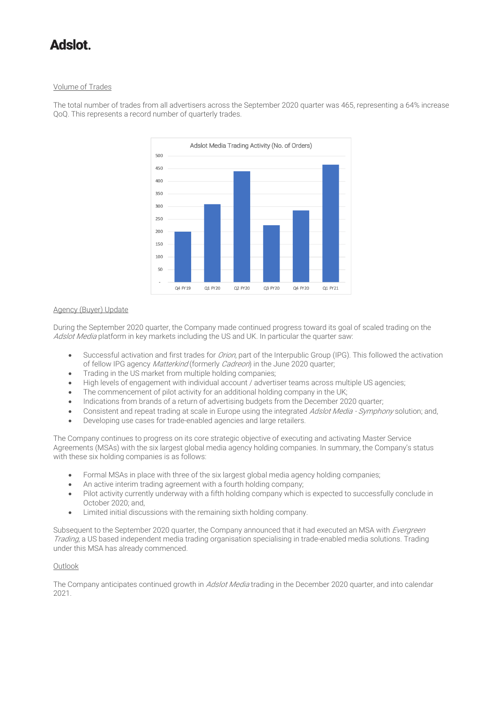### Volume of Trades

The total number of trades from all advertisers across the September 2020 quarter was 465, representing a 64% increase QoQ. This represents a record number of quarterly trades.



### Agency (Buyer) Update

During the September 2020 quarter, the Company made continued progress toward its goal of scaled trading on the Adslot Media platform in key markets including the US and UK. In particular the quarter saw:

- Successful activation and first trades for *Orion*, part of the Interpublic Group (IPG). This followed the activation of fellow IPG agency Matterkind (formerly Cadreon) in the June 2020 quarter;
- Trading in the US market from multiple holding companies;
- High levels of engagement with individual account / advertiser teams across multiple US agencies;
- The commencement of pilot activity for an additional holding company in the UK;
- Indications from brands of a return of advertising budgets from the December 2020 quarter;
- Consistent and repeat trading at scale in Europe using the integrated Adslot Media Symphony solution; and,
- Developing use cases for trade-enabled agencies and large retailers.

The Company continues to progress on its core strategic objective of executing and activating Master Service Agreements (MSAs) with the six largest global media agency holding companies. In summary, the Company's status with these six holding companies is as follows:

- Formal MSAs in place with three of the six largest global media agency holding companies;
- An active interim trading agreement with a fourth holding company;
- Pilot activity currently underway with a fifth holding company which is expected to successfully conclude in October 2020; and,
- Limited initial discussions with the remaining sixth holding company.

Subsequent to the September 2020 quarter, the Company announced that it had executed an MSA with Evergreen Trading, a US based independent media trading organisation specialising in trade-enabled media solutions. Trading under this MSA has already commenced.

### **Outlook**

The Company anticipates continued growth in Adslot Media trading in the December 2020 quarter, and into calendar  $2021$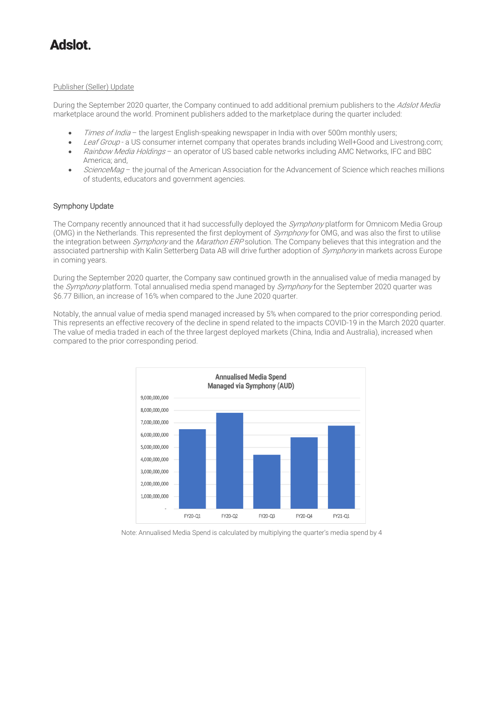### Publisher (Seller) Update

During the September 2020 quarter, the Company continued to add additional premium publishers to the Adslot Media marketplace around the world. Prominent publishers added to the marketplace during the quarter included:

- Times of India the largest English-speaking newspaper in India with over 500m monthly users;
- Leaf Group a US consumer internet company that operates brands including Well+Good and Livestrong.com; • Rainbow Media Holdings – an operator of US based cable networks including AMC Networks, IFC and BBC
- America; and, ScienceMag – the journal of the American Association for the Advancement of Science which reaches millions of students, educators and government agencies.

### Symphony Update

The Company recently announced that it had successfully deployed the Symphony platform for Omnicom Media Group (OMG) in the Netherlands. This represented the first deployment of Symphony for OMG, and was also the first to utilise the integration between *Symphony* and the *Marathon ERP* solution. The Company believes that this integration and the associated partnership with Kalin Setterberg Data AB will drive further adoption of Symphony in markets across Europe in coming years.

During the September 2020 quarter, the Company saw continued growth in the annualised value of media managed by the Symphony platform. Total annualised media spend managed by Symphony for the September 2020 quarter was \$6.77 Billion, an increase of 16% when compared to the June 2020 quarter.

Notably, the annual value of media spend managed increased by 5% when compared to the prior corresponding period. This represents an effective recovery of the decline in spend related to the impacts COVID-19 in the March 2020 quarter. The value of media traded in each of the three largest deployed markets (China, India and Australia), increased when compared to the prior corresponding period.



Note: Annualised Media Spend is calculated by multiplying the quarter's media spend by 4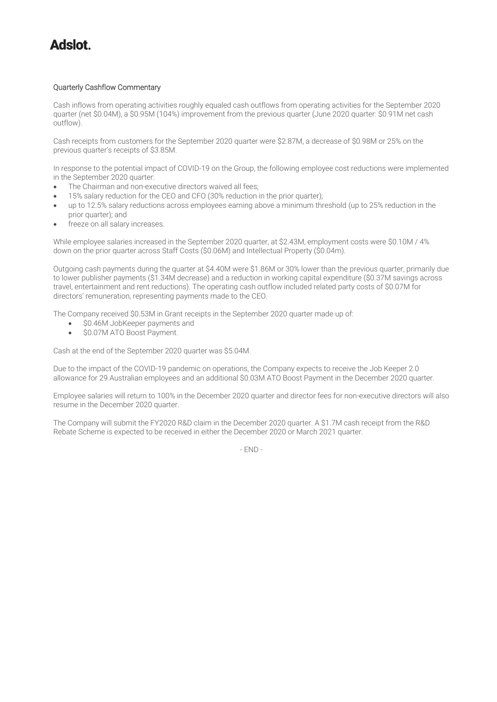### Quarterly Cashflow Commentary

Cash inflows from operating activities roughly equaled cash outflows from operating activities for the September 2020 quarter (net \$0.04M), a \$0.95M (104%) improvement from the previous quarter (June 2020 quarter: \$0.91M net cash outflow).

Cash receipts from customers for the September 2020 quarter were \$2.87M, a decrease of \$0.98M or 25% on the previous quarter's receipts of \$3.85M.

In response to the potential impact of COVID-19 on the Group, the following employee cost reductions were implemented in the September 2020 quarter:

- The Chairman and non-executive directors waived all fees;
- 15% salary reduction for the CEO and CFO (30% reduction in the prior quarter);
- up to 12.5% salary reductions across employees earning above a minimum threshold (up to 25% reduction in the prior quarter); and
- freeze on all salary increases.

While employee salaries increased in the September 2020 quarter, at \$2.43M, employment costs were \$0.10M / 4% down on the prior quarter across Staff Costs (\$0.06M) and Intellectual Property (\$0.04m).

Outgoing cash payments during the quarter at \$4.40M were \$1.86M or 30% lower than the previous quarter, primarily due to lower publisher payments (\$1.34M decrease) and a reduction in working capital expenditure (\$0.37M savings across travel, entertainment and rent reductions). The operating cash outflow included related party costs of \$0.07M for directors' remuneration, representing payments made to the CEO.

The Company received \$0.53M in Grant receipts in the September 2020 quarter made up of:

- \$0.46M JobKeeper payments and
- \$0.07M ATO Boost Payment.

Cash at the end of the September 2020 quarter was \$5.04M.

Due to the impact of the COVID-19 pandemic on operations, the Company expects to receive the Job Keeper 2.0 allowance for 29 Australian employees and an additional \$0.03M ATO Boost Payment in the December 2020 quarter.

Employee salaries will return to 100% in the December 2020 quarter and director fees for non-executive directors will also resume in the December 2020 quarter.

The Company will submit the FY2020 R&D claim in the December 2020 quarter. A \$1.7M cash receipt from the R&D Rebate Scheme is expected to be received in either the December 2020 or March 2021 quarter.

- END -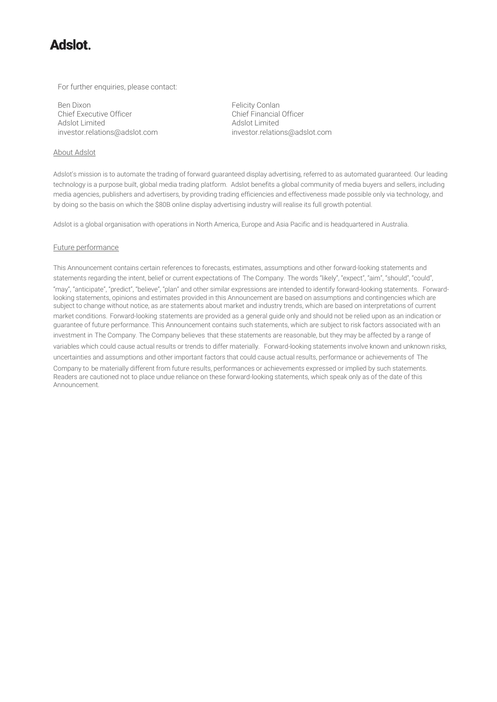For further enquiries, please contact:

Ben Dixon<br>
Chief Executive Officer<br>
Chief Einancial Officer<br>
Chief Financial Officer Chief Executive Officer<br>Adslot Limited Adslot Limited<br>
investor.relations@adslot.com<br>
investor.relatio

About Adslot

[investor.relations@adslot.com](mailto:info@adslot.com.au) investor.relations@adslot.com

Adslot's mission is to automate the trading of forward guaranteed display advertising, referred to as automated guaranteed. Our leading technology is a purpose built, global media trading platform. Adslot benefits a global community of media buyers and sellers, including media agencies, publishers and advertisers, by providing trading efficiencies and effectiveness made possible only via technology, and by doing so the basis on which the \$80B online display advertising industry will realise its full growth potential.

Adslot is a global organisation with operations in North America, Europe and Asia Pacific and is headquartered in Australia.

### Future performance

This Announcement contains certain references to forecasts, estimates, assumptions and other forward-looking statements and statements regarding the intent, belief or current expectations of The Company. The words "likely", "expect", "aim", "should", "could", "may", "anticipate", "predict", "believe", "plan" and other similar expressions are intended to identify forward-looking statements. Forwardlooking statements, opinions and estimates provided in this Announcement are based on assumptions and contingencies which are subject to change without notice, as are statements about market and industry trends, which are based on interpretations of current market conditions. Forward-looking statements are provided as a general guide only and should not be relied upon as an indication or guarantee of future performance. This Announcement contains such statements, which are subject to risk factors associated with an investment in The Company. The Company believes that these statements are reasonable, but they may be affected by a range of variables which could cause actual results or trends to differ materially. Forward-looking statements involve known and unknown risks, uncertainties and assumptions and other important factors that could cause actual results, performance or achievements of The

Company to be materially different from future results, performances or achievements expressed or implied by such statements. Readers are cautioned not to place undue reliance on these forward-looking statements, which speak only as of the date of this Announcement.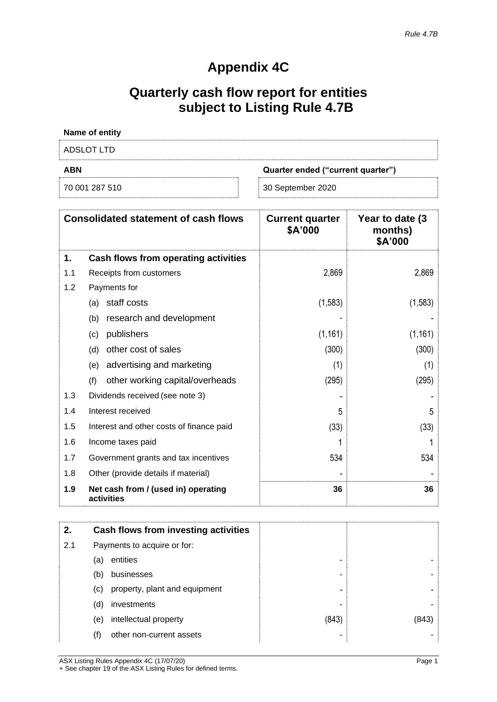## **Appendix 4C**

## **Quarterly cash flow report for entities subject to Listing Rule 4.7B**

| Name of entity |                                   |
|----------------|-----------------------------------|
| ADSLOT LTD     |                                   |
|                |                                   |
| <b>ABN</b>     | Quarter ended ("current quarter") |

|     | <b>Consolidated statement of cash flows</b>       | <b>Current quarter</b><br>\$A'000 | Year to date (3)<br>months)<br>\$A'000 |
|-----|---------------------------------------------------|-----------------------------------|----------------------------------------|
| 1.  | Cash flows from operating activities              |                                   |                                        |
| 1.1 | Receipts from customers                           | 2,869                             | 2,869                                  |
| 1.2 | Payments for                                      |                                   |                                        |
|     | staff costs<br>(a)                                | (1,583)                           | (1, 583)                               |
|     | research and development<br>(b)                   |                                   |                                        |
|     | publishers<br>(c)                                 | (1, 161)                          | (1, 161)                               |
|     | other cost of sales<br>(d)                        | (300)                             | (300)                                  |
|     | advertising and marketing<br>(e)                  | (1)                               | (1)                                    |
|     | other working capital/overheads<br>(f)            | (295)                             | (295)                                  |
| 1.3 | Dividends received (see note 3)                   |                                   |                                        |
| 1.4 | Interest received                                 | 5                                 | 5                                      |
| 1.5 | Interest and other costs of finance paid          | (33)                              | (33)                                   |
| 1.6 | Income taxes paid                                 |                                   |                                        |
| 1.7 | Government grants and tax incentives              | 534                               | 534                                    |
| 1.8 | Other (provide details if material)               |                                   |                                        |
| 1.9 | Net cash from / (used in) operating<br>activities | 36                                | 36                                     |

| 2.  |     | Cash flows from investing activities |       |       |
|-----|-----|--------------------------------------|-------|-------|
| 2.1 |     | Payments to acquire or for:          |       |       |
|     | (a) | entities                             | -     |       |
|     | (b) | businesses                           |       |       |
|     | (C) | property, plant and equipment        |       |       |
|     | (d) | investments                          |       |       |
|     | (e) | intellectual property                | (843) | (843) |
|     | (f) | other non-current assets             |       |       |

ASX Listing Rules Appendix 4C (17/07/20) Page 1 + See chapter 19 of the ASX Listing Rules for defined terms.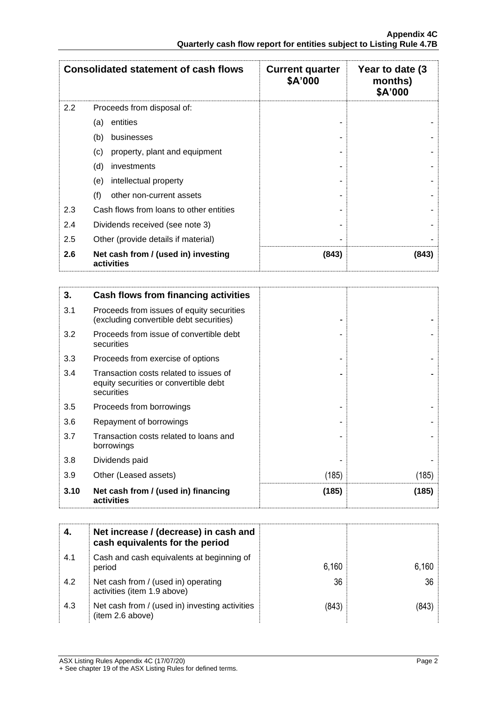|                                            | <b>Consolidated statement of cash flows</b>       | <b>Current quarter</b><br>\$A'000 | Year to date (3)<br>months)<br>\$A'000 |
|--------------------------------------------|---------------------------------------------------|-----------------------------------|----------------------------------------|
| 2.2                                        | Proceeds from disposal of:                        |                                   |                                        |
|                                            | entities<br>(a)                                   |                                   |                                        |
|                                            | (b)<br>businesses                                 |                                   |                                        |
|                                            | property, plant and equipment<br>(c)              |                                   |                                        |
|                                            | (d)<br>investments                                |                                   |                                        |
|                                            | intellectual property<br>(e)                      |                                   |                                        |
|                                            | (f)<br>other non-current assets                   |                                   |                                        |
| 2.3                                        | Cash flows from loans to other entities           |                                   |                                        |
| 2.4<br>Dividends received (see note 3)     |                                                   |                                   |                                        |
| 2.5<br>Other (provide details if material) |                                                   |                                   |                                        |
| 2.6                                        | Net cash from / (used in) investing<br>activities | (843)                             | (843)                                  |

| 3.   | Cash flows from financing activities                                                          |       |       |
|------|-----------------------------------------------------------------------------------------------|-------|-------|
| 3.1  | Proceeds from issues of equity securities<br>(excluding convertible debt securities)          |       |       |
| 3.2  | Proceeds from issue of convertible debt<br>securities                                         |       |       |
| 3.3  | Proceeds from exercise of options                                                             |       |       |
| 3.4  | Transaction costs related to issues of<br>equity securities or convertible debt<br>securities |       |       |
| 3.5  | Proceeds from borrowings                                                                      |       |       |
| 3.6  | Repayment of borrowings                                                                       |       |       |
| 3.7  | Transaction costs related to loans and<br>borrowings                                          |       |       |
| 3.8  | Dividends paid                                                                                |       |       |
| 3.9  | Other (Leased assets)                                                                         | (185) | (185) |
| 3.10 | Net cash from / (used in) financing<br>activities                                             | (185) | (185) |

|     | Net increase / (decrease) in cash and<br>cash equivalents for the period |       |                 |
|-----|--------------------------------------------------------------------------|-------|-----------------|
| 4.1 | Cash and cash equivalents at beginning of<br>period                      | 6,160 | 6,160           |
| 4.2 | Net cash from / (used in) operating<br>activities (item 1.9 above)       | 36    | 36 <sup>1</sup> |
| 4.3 | Net cash from / (used in) investing activities<br>(item 2.6 above)       | (843) | 843).           |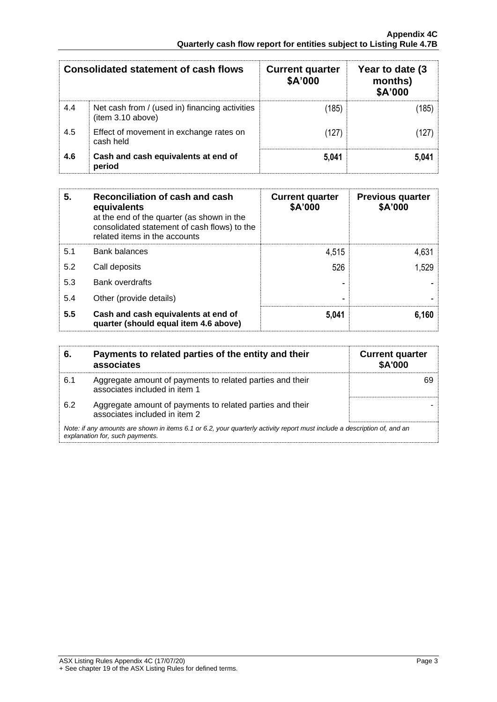| Consolidated statement of cash flows |                                                                    | <b>Current quarter</b><br>\$A'000 | Year to date (3)<br>months)<br>\$A'000 |
|--------------------------------------|--------------------------------------------------------------------|-----------------------------------|----------------------------------------|
| 4.4                                  | Net cash from / (used in) financing activities<br>item 3.10 above) | (185)                             | (185)                                  |
| 4.5                                  | Effect of movement in exchange rates on<br>cash held               | (127)                             | (127)                                  |
| 4.6                                  | Cash and cash equivalents at end of<br>period                      | 5,041                             | 5.041                                  |

| 5.  | Reconciliation of cash and cash<br>equivalents<br>at the end of the quarter (as shown in the<br>consolidated statement of cash flows) to the<br>related items in the accounts | <b>Current quarter</b><br>\$A'000 | <b>Previous quarter</b><br>\$A'000 |
|-----|-------------------------------------------------------------------------------------------------------------------------------------------------------------------------------|-----------------------------------|------------------------------------|
| 5.1 | <b>Bank balances</b>                                                                                                                                                          | 4,515                             | 4,631                              |
| 5.2 | Call deposits                                                                                                                                                                 | 526                               | 1,529                              |
| 5.3 | <b>Bank overdrafts</b>                                                                                                                                                        |                                   |                                    |
| 5.4 | Other (provide details)                                                                                                                                                       | -                                 |                                    |
| 5.5 | Cash and cash equivalents at end of<br>quarter (should equal item 4.6 above)                                                                                                  | 5,041                             | 6,160                              |

| 6.  | Payments to related parties of the entity and their<br>associates                                                                                           | <b>Current quarter</b><br><b>\$A'000</b> |
|-----|-------------------------------------------------------------------------------------------------------------------------------------------------------------|------------------------------------------|
| 6.1 | Aggregate amount of payments to related parties and their<br>associates included in item 1                                                                  |                                          |
| 6.2 | Aggregate amount of payments to related parties and their<br>associates included in item 2                                                                  |                                          |
|     | Note: if any amounts are shown in items 6.1 or 6.2, your quarterly activity report must include a description of, and an<br>explanation for, such payments. |                                          |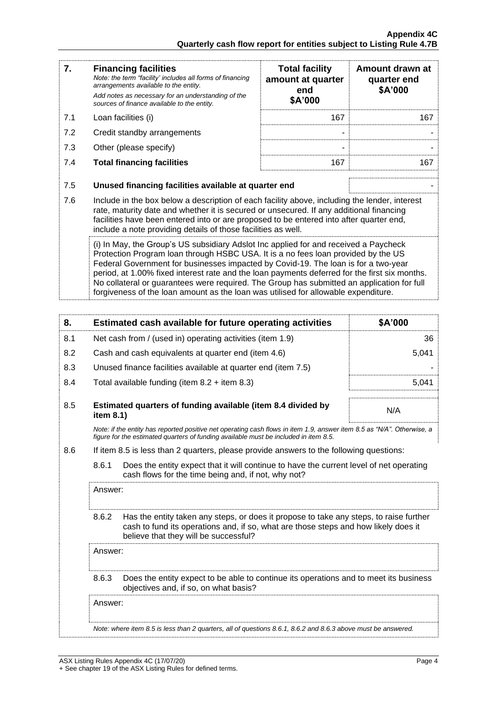| 7.                                                                                                                                                                                                                                                                                                                                                                                                                                                                                                                                                   | <b>Financing facilities</b><br>Note: the term "facility' includes all forms of financing<br>arrangements available to the entity.<br>Add notes as necessary for an understanding of the<br>sources of finance available to the entity.                                                                                                               | <b>Total facility</b><br>amount at quarter<br>end<br>\$A'000 | Amount drawn at<br>quarter end<br>\$A'000 |
|------------------------------------------------------------------------------------------------------------------------------------------------------------------------------------------------------------------------------------------------------------------------------------------------------------------------------------------------------------------------------------------------------------------------------------------------------------------------------------------------------------------------------------------------------|------------------------------------------------------------------------------------------------------------------------------------------------------------------------------------------------------------------------------------------------------------------------------------------------------------------------------------------------------|--------------------------------------------------------------|-------------------------------------------|
| 7.1                                                                                                                                                                                                                                                                                                                                                                                                                                                                                                                                                  | Loan facilities (i)                                                                                                                                                                                                                                                                                                                                  | 167                                                          | 167                                       |
| 7.2                                                                                                                                                                                                                                                                                                                                                                                                                                                                                                                                                  | Credit standby arrangements                                                                                                                                                                                                                                                                                                                          | ۰                                                            |                                           |
| 7.3                                                                                                                                                                                                                                                                                                                                                                                                                                                                                                                                                  | Other (please specify)                                                                                                                                                                                                                                                                                                                               | ۰                                                            |                                           |
| 7.4                                                                                                                                                                                                                                                                                                                                                                                                                                                                                                                                                  | <b>Total financing facilities</b>                                                                                                                                                                                                                                                                                                                    | 167                                                          | 167                                       |
| 7.5                                                                                                                                                                                                                                                                                                                                                                                                                                                                                                                                                  | Unused financing facilities available at quarter end                                                                                                                                                                                                                                                                                                 |                                                              |                                           |
| 7.6                                                                                                                                                                                                                                                                                                                                                                                                                                                                                                                                                  | Include in the box below a description of each facility above, including the lender, interest<br>rate, maturity date and whether it is secured or unsecured. If any additional financing<br>facilities have been entered into or are proposed to be entered into after quarter end,<br>include a note providing details of those facilities as well. |                                                              |                                           |
| (i) In May, the Group's US subsidiary Adslot Inc applied for and received a Paycheck<br>Protection Program loan through HSBC USA. It is a no fees loan provided by the US<br>Federal Government for businesses impacted by Covid-19. The loan is for a two-year<br>period, at 1.00% fixed interest rate and the loan payments deferred for the first six months.<br>No collateral or guarantees were required. The Group has submitted an application for full<br>forgiveness of the loan amount as the loan was utilised for allowable expenditure. |                                                                                                                                                                                                                                                                                                                                                      |                                                              |                                           |

| 8.      |           | Estimated cash available for future operating activities                                                                                                                                                               | \$A'000 |  |
|---------|-----------|------------------------------------------------------------------------------------------------------------------------------------------------------------------------------------------------------------------------|---------|--|
| 8.1     |           | Net cash from / (used in) operating activities (item 1.9)                                                                                                                                                              | 36      |  |
| 8.2     |           | Cash and cash equivalents at quarter end (item 4.6)                                                                                                                                                                    | 5,041   |  |
| 8.3     |           | Unused finance facilities available at quarter end (item 7.5)                                                                                                                                                          |         |  |
| 8.4     |           | Total available funding (item $8.2 +$ item $8.3$ )                                                                                                                                                                     | 5,041   |  |
| 8.5     | item 8.1) | Estimated quarters of funding available (item 8.4 divided by                                                                                                                                                           | N/A     |  |
|         |           | Note: if the entity has reported positive net operating cash flows in item 1.9, answer item 8.5 as "N/A". Otherwise, a<br>figure for the estimated quarters of funding available must be included in item 8.5.         |         |  |
| 8.6     |           | If item 8.5 is less than 2 quarters, please provide answers to the following questions:                                                                                                                                |         |  |
|         | 8.6.1     | Does the entity expect that it will continue to have the current level of net operating<br>cash flows for the time being and, if not, why not?                                                                         |         |  |
|         | Answer:   |                                                                                                                                                                                                                        |         |  |
|         | 8.6.2     | Has the entity taken any steps, or does it propose to take any steps, to raise further<br>cash to fund its operations and, if so, what are those steps and how likely does it<br>believe that they will be successful? |         |  |
| Answer: |           |                                                                                                                                                                                                                        |         |  |
|         | 8.6.3     | Does the entity expect to be able to continue its operations and to meet its business<br>objectives and, if so, on what basis?                                                                                         |         |  |
|         | Answer:   |                                                                                                                                                                                                                        |         |  |
|         |           | Note whom item $0.5$ is loss than $2$ quanters, all of quastions $0.64$ , $0.62$ and $0.62$ above must be approxed                                                                                                     |         |  |